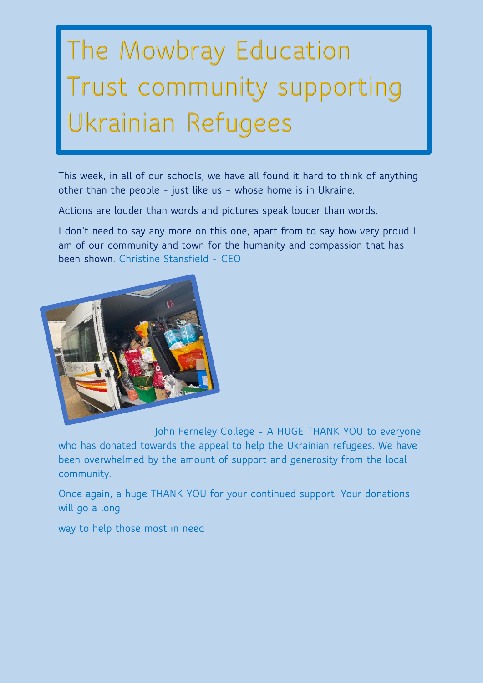## The Mowbray Education Trust community supporting Ukrainian Refugees

**This week, in all of our schools, we have all found it hard to think of anything other than the people - just like us – whose home is in Ukraine.**

**Actions are louder than words and pictures speak louder than words.** 

**I don't need to say any more on this one, apart from to say how very proud I am of our community and town for the humanity and compassion that has been shown. Christine Stansfield - CEO**



**John Ferneley College - A HUGE THANK YOU to everyone who has donated towards the appeal to help the Ukrainian refugees. We have been overwhelmed by the amount of support and generosity from the local community.**

**Once again, a huge THANK YOU for your continued support. Your donations will go a long** 

**way to help those most in need**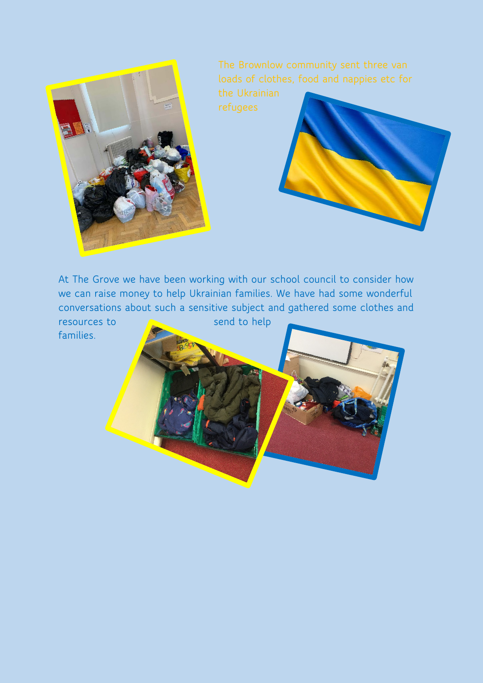



**At The Grove we have been working with our school council to consider how we can raise money to help Ukrainian families. We have had some wonderful conversations about such a sensitive subject and gathered some clothes and resources to send to help families.**